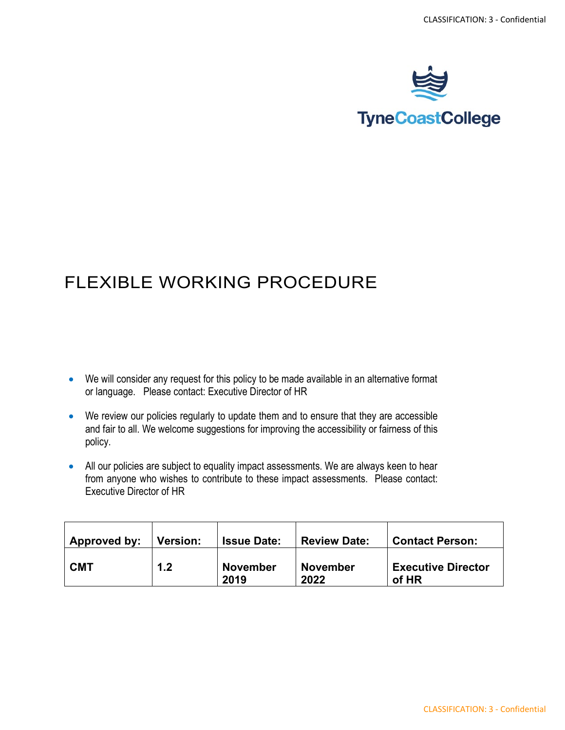

## FLEXIBLE WORKING PROCEDURE

- We will consider any request for this policy to be made available in an alternative format or language. Please contact: Executive Director of HR
- We review our policies regularly to update them and to ensure that they are accessible and fair to all. We welcome suggestions for improving the accessibility or fairness of this policy.
- All our policies are subject to equality impact assessments. We are always keen to hear from anyone who wishes to contribute to these impact assessments. Please contact: Executive Director of HR

| Approved by: | <b>Version:</b> | <b>Issue Date:</b>      | <b>Review Date:</b>     | <b>Contact Person:</b>             |
|--------------|-----------------|-------------------------|-------------------------|------------------------------------|
| <b>CMT</b>   | 1.2             | <b>November</b><br>2019 | <b>November</b><br>2022 | <b>Executive Director</b><br>of HR |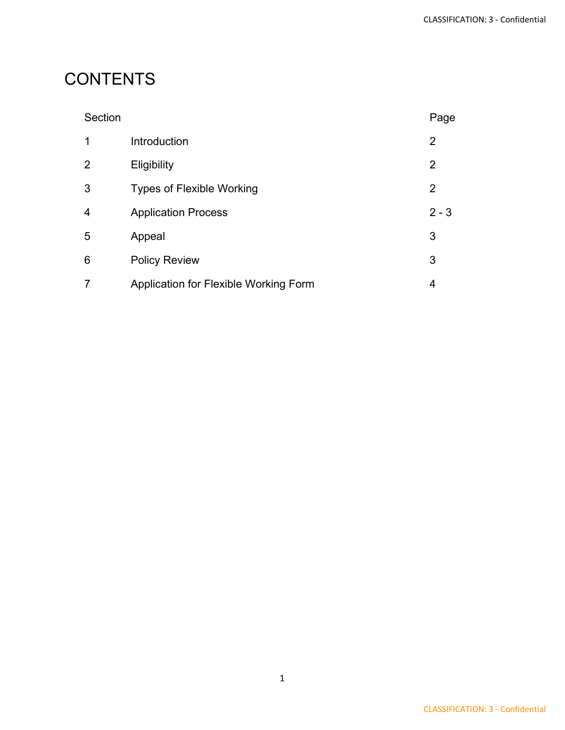## **CONTENTS**

| Section        |                                       | Page    |
|----------------|---------------------------------------|---------|
| 1              | Introduction                          | 2       |
| 2              | Eligibility                           | 2       |
| 3              | <b>Types of Flexible Working</b>      | 2       |
| $\overline{4}$ | <b>Application Process</b>            | $2 - 3$ |
| 5              | Appeal                                | 3       |
| 6              | <b>Policy Review</b>                  | 3       |
|                | Application for Flexible Working Form | 4       |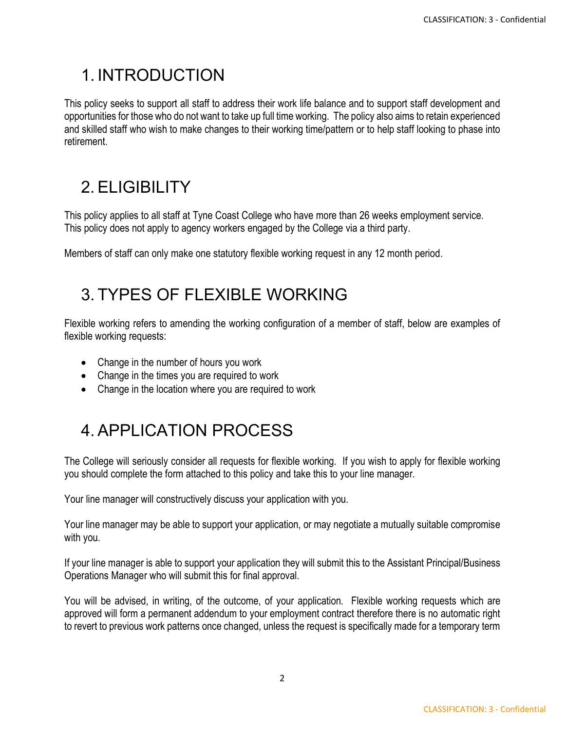### 1. INTRODUCTION

This policy seeks to support all staff to address their work life balance and to support staff development and opportunities for those who do not want to take up full time working. The policy also aims to retain experienced and skilled staff who wish to make changes to their working time/pattern or to help staff looking to phase into retirement.

# 2.ELIGIBILITY

This policy applies to all staff at Tyne Coast College who have more than 26 weeks employment service. This policy does not apply to agency workers engaged by the College via a third party.

Members of staff can only make one statutory flexible working request in any 12 month period.

#### 3. TYPES OF FLEXIBLE WORKING

Flexible working refers to amending the working configuration of a member of staff, below are examples of flexible working requests:

- Change in the number of hours you work
- Change in the times you are required to work
- Change in the location where you are required to work

# 4.APPLICATION PROCESS

The College will seriously consider all requests for flexible working. If you wish to apply for flexible working you should complete the form attached to this policy and take this to your line manager.

Your line manager will constructively discuss your application with you.

Your line manager may be able to support your application, or may negotiate a mutually suitable compromise with you.

If your line manager is able to support your application they will submit this to the Assistant Principal/Business Operations Manager who will submit this for final approval.

You will be advised, in writing, of the outcome, of your application. Flexible working requests which are approved will form a permanent addendum to your employment contract therefore there is no automatic right to revert to previous work patterns once changed, unless the request is specifically made for a temporary term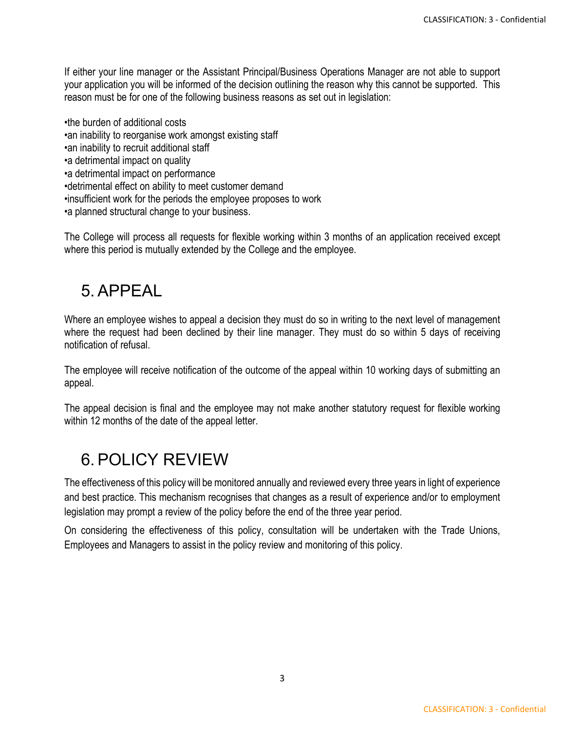If either your line manager or the Assistant Principal/Business Operations Manager are not able to support your application you will be informed of the decision outlining the reason why this cannot be supported. This reason must be for one of the following business reasons as set out in legislation:

•the burden of additional costs •an inability to reorganise work amongst existing staff •an inability to recruit additional staff •a detrimental impact on quality •a detrimental impact on performance •detrimental effect on ability to meet customer demand •insufficient work for the periods the employee proposes to work •a planned structural change to your business.

The College will process all requests for flexible working within 3 months of an application received except where this period is mutually extended by the College and the employee.

#### 5.APPEAL

Where an employee wishes to appeal a decision they must do so in writing to the next level of management where the request had been declined by their line manager. They must do so within 5 days of receiving notification of refusal.

The employee will receive notification of the outcome of the appeal within 10 working days of submitting an appeal.

The appeal decision is final and the employee may not make another statutory request for flexible working within 12 months of the date of the appeal letter.

#### 6.POLICY REVIEW

The effectiveness of this policy will be monitored annually and reviewed every three years in light of experience and best practice. This mechanism recognises that changes as a result of experience and/or to employment legislation may prompt a review of the policy before the end of the three year period.

On considering the effectiveness of this policy, consultation will be undertaken with the Trade Unions, Employees and Managers to assist in the policy review and monitoring of this policy.